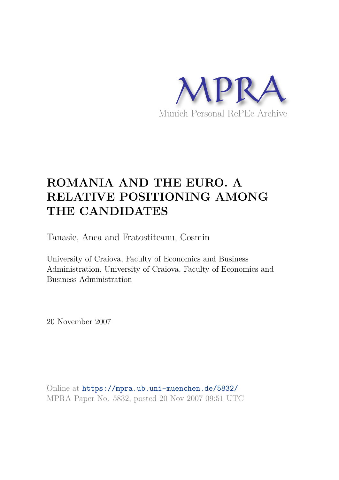

# **ROMANIA AND THE EURO. A RELATIVE POSITIONING AMONG THE CANDIDATES**

Tanasie, Anca and Fratostiteanu, Cosmin

University of Craiova, Faculty of Economics and Business Administration, University of Craiova, Faculty of Economics and Business Administration

20 November 2007

Online at https://mpra.ub.uni-muenchen.de/5832/ MPRA Paper No. 5832, posted 20 Nov 2007 09:51 UTC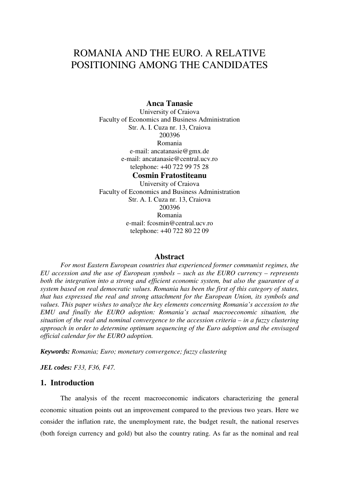## ROMANIA AND THE EURO. A RELATIVE POSITIONING AMONG THE CANDIDATES

## **Anca Tanasie**

University of Craiova Faculty of Economics and Business Administration Str. A. I. Cuza nr. 13, Craiova 200396 Romania e-mail: ancatanasie@gmx.de e-mail: ancatanasie@central.ucv.ro telephone: +40 722 99 75 28

**Cosmin Fratostiteanu**  University of Craiova Faculty of Economics and Business Administration Str. A. I. Cuza nr. 13, Craiova 200396 Romania e-mail: fcosmin@central.ucv.ro telephone: +40 722 80 22 09

## **Abstract**

*For most Eastern European countries that experienced former communist regimes, the EU accession and the use of European symbols – such as the EURO currency – represents both the integration into a strong and efficient economic system, but also the guarantee of a system based on real democratic values. Romania has been the first of this category of states, that has expressed the real and strong attachment for the European Union, its symbols and values. This paper wishes to analyze the key elements concerning Romania's accession to the EMU and finally the EURO adoption: Romania's actual macroeconomic situation, the situation of the real and nominal convergence to the accession criteria – in a fuzzy clustering approach in order to determine optimum sequencing of the Euro adoption and the envisaged official calendar for the EURO adoption.* 

*Keywords: Romania; Euro; monetary convergence; fuzzy clustering* 

*JEL codes: F33, F36, F47.* 

## **1. Introduction**

The analysis of the recent macroeconomic indicators characterizing the general economic situation points out an improvement compared to the previous two years. Here we consider the inflation rate, the unemployment rate, the budget result, the national reserves (both foreign currency and gold) but also the country rating. As far as the nominal and real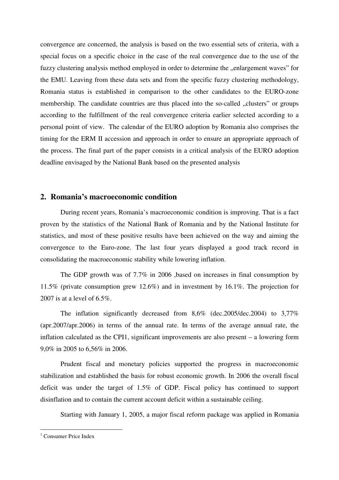convergence are concerned, the analysis is based on the two essential sets of criteria, with a special focus on a specific choice in the case of the real convergence due to the use of the fuzzy clustering analysis method employed in order to determine the "enlargement waves" for the EMU. Leaving from these data sets and from the specific fuzzy clustering methodology, Romania status is established in comparison to the other candidates to the EURO-zone membership. The candidate countries are thus placed into the so-called "clusters" or groups according to the fulfillment of the real convergence criteria earlier selected according to a personal point of view. The calendar of the EURO adoption by Romania also comprises the timing for the ERM II accession and approach in order to ensure an appropriate approach of the process. The final part of the paper consists in a critical analysis of the EURO adoption deadline envisaged by the National Bank based on the presented analysis

## **2. Romania's macroeconomic condition**

During recent years, Romania's macroeconomic condition is improving. That is a fact proven by the statistics of the National Bank of Romania and by the National Institute for statistics, and most of these positive results have been achieved on the way and aiming the convergence to the Euro-zone. The last four years displayed a good track record in consolidating the macroeconomic stability while lowering inflation.

The GDP growth was of 7.7% in 2006 ,based on increases in final consumption by 11.5% (private consumption grew 12.6%) and in investment by 16.1%. The projection for 2007 is at a level of 6.5%.

The inflation significantly decreased from 8,6% (dec.2005/dec.2004) to 3,77% (apr.2007/apr.2006) in terms of the annual rate. In terms of the average annual rate, the inflation calculated as the CPI1, significant improvements are also present – a lowering form 9,0% in 2005 to 6,56% in 2006.

Prudent fiscal and monetary policies supported the progress in macroeconomic stabilization and established the basis for robust economic growth. In 2006 the overall fiscal deficit was under the target of 1.5% of GDP. Fiscal policy has continued to support disinflation and to contain the current account deficit within a sustainable ceiling.

Starting with January 1, 2005, a major fiscal reform package was applied in Romania

 1 Consumer Price Index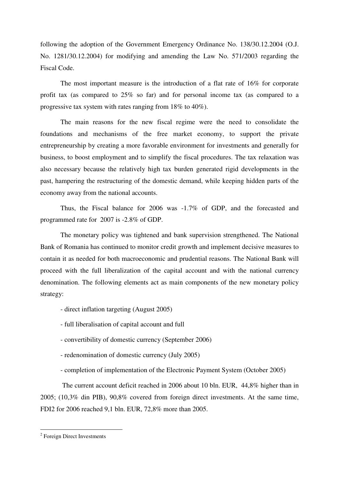following the adoption of the Government Emergency Ordinance No. 138/30.12.2004 (O.J. No. 1281/30.12.2004) for modifying and amending the Law No. 571/2003 regarding the Fiscal Code.

The most important measure is the introduction of a flat rate of 16% for corporate profit tax (as compared to 25% so far) and for personal income tax (as compared to a progressive tax system with rates ranging from 18% to 40%).

The main reasons for the new fiscal regime were the need to consolidate the foundations and mechanisms of the free market economy, to support the private entrepreneurship by creating a more favorable environment for investments and generally for business, to boost employment and to simplify the fiscal procedures. The tax relaxation was also necessary because the relatively high tax burden generated rigid developments in the past, hampering the restructuring of the domestic demand, while keeping hidden parts of the economy away from the national accounts.

Thus, the Fiscal balance for 2006 was -1.7% of GDP, and the forecasted and programmed rate for 2007 is -2.8% of GDP.

The monetary policy was tightened and bank supervision strengthened. The National Bank of Romania has continued to monitor credit growth and implement decisive measures to contain it as needed for both macroeconomic and prudential reasons. The National Bank will proceed with the full liberalization of the capital account and with the national currency denomination. The following elements act as main components of the new monetary policy strategy:

- direct inflation targeting (August 2005)
- full liberalisation of capital account and full
- convertibility of domestic currency (September 2006)
- redenomination of domestic currency (July 2005)
- completion of implementation of the Electronic Payment System (October 2005)

 The current account deficit reached in 2006 about 10 bln. EUR, 44,8% higher than in 2005; (10,3% din PIB), 90,8% covered from foreign direct investments. At the same time, FDI2 for 2006 reached 9,1 bln. EUR, 72,8% more than 2005.

 2 Foreign Direct Investments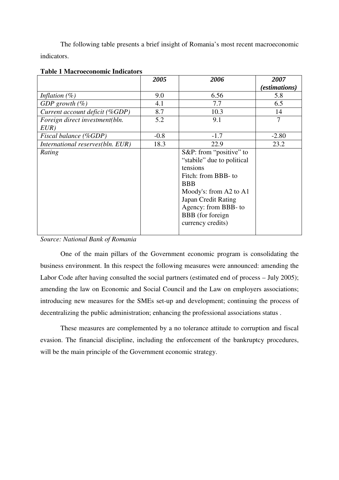The following table presents a brief insight of Romania's most recent macroeconomic indicators.

|                                  | 2005   | 2006                       | 2007                 |
|----------------------------------|--------|----------------------------|----------------------|
|                                  |        |                            | <i>(estimations)</i> |
| Inflation $(\%)$                 | 9.0    | 6.56                       | 5.8                  |
| GDP growth $(\%)$                | 4.1    | 7.7                        | 6.5                  |
| Current account deficit (%GDP)   | 8.7    | 10.3                       | 14                   |
| Foreign direct investment(bln.   | 5.2    | 9.1                        | 7                    |
| EUR)                             |        |                            |                      |
| Fiscal balance (%GDP)            | $-0.8$ | $-1.7$                     | $-2.80$              |
| International reserves(bln. EUR) | 18.3   | 22.9                       | 23.2                 |
| Rating                           |        | S&P: from "positive" to    |                      |
|                                  |        | "stabile" due to political |                      |
|                                  |        | tensions                   |                      |
|                                  |        | Fitch: from BBB- to        |                      |
|                                  |        | <b>BBB</b>                 |                      |
|                                  |        | Moody's: from A2 to A1     |                      |
|                                  |        | Japan Credit Rating        |                      |
|                                  |        | Agency: from BBB- to       |                      |
|                                  |        | BBB (for foreign           |                      |
|                                  |        | currency credits)          |                      |
|                                  |        |                            |                      |

### **Table 1 Macroeconomic Indicators**

*Source: National Bank of Romania* 

One of the main pillars of the Government economic program is consolidating the business environment. In this respect the following measures were announced: amending the Labor Code after having consulted the social partners (estimated end of process – July 2005); amending the law on Economic and Social Council and the Law on employers associations; introducing new measures for the SMEs set-up and development; continuing the process of decentralizing the public administration; enhancing the professional associations status .

These measures are complemented by a no tolerance attitude to corruption and fiscal evasion. The financial discipline, including the enforcement of the bankruptcy procedures, will be the main principle of the Government economic strategy.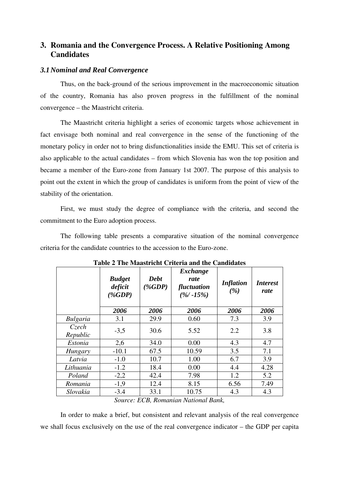## **3. Romania and the Convergence Process. A Relative Positioning Among Candidates**

## *3.1Nominal and Real Convergence*

Thus, on the back-ground of the serious improvement in the macroeconomic situation of the country, Romania has also proven progress in the fulfillment of the nominal convergence – the Maastricht criteria.

The Maastricht criteria highlight a series of economic targets whose achievement in fact envisage both nominal and real convergence in the sense of the functioning of the monetary policy in order not to bring disfunctionalities inside the EMU. This set of criteria is also applicable to the actual candidates – from which Slovenia has won the top position and became a member of the Euro-zone from January 1st 2007. The purpose of this analysis to point out the extent in which the group of candidates is uniform from the point of view of the stability of the orientation.

First, we must study the degree of compliance with the criteria, and second the commitment to the Euro adoption process.

The following table presents a comparative situation of the nominal convergence criteria for the candidate countries to the accession to the Euro-zone.

|                   | <b>Budget</b><br>deficit<br>$(\%GDP)$ | <b>Debt</b><br>$(\%GDP)$    | Exchange<br>rate<br>fluctuation<br>$(\frac{9}{6} - 15\%)$ | <b>Inflation</b><br>(%) | <i><b>Interest</b></i><br>rate |
|-------------------|---------------------------------------|-----------------------------|-----------------------------------------------------------|-------------------------|--------------------------------|
|                   | 2006                                  | 2006                        | 2006                                                      | 2006                    | 2006                           |
| <b>Bulgaria</b>   | 3.1                                   | 29.9                        | 0.60                                                      | 7.3                     | 3.9                            |
| Czech<br>Republic | $-3,5$                                | 30.6                        | 5.52                                                      | 2.2                     | 3.8                            |
| Estonia           | 2,6                                   | 34.0                        | 0.00                                                      | 4.3                     | 4.7                            |
| Hungary           | $-10.1$                               | 67.5                        | 10.59                                                     | 3.5                     | 7.1                            |
| Latvia            | $-1.0$                                | 10.7                        | 1.00                                                      | 6.7                     | 3.9                            |
| Lithuania         | $-1.2$                                | 18.4                        | 0.00                                                      | 4.4                     | 4.28                           |
| Poland            | $-2,2$                                | 42.4                        | 7.98                                                      | 1.2                     | 5.2                            |
| Romania           | $-1,9$                                | 12.4                        | 8.15                                                      | 6.56                    | 7.49                           |
| Slovakia          | $-3.4$                                | 33.1                        | 10.75                                                     | 4.3                     | 4.3                            |
|                   | $\mathbf{C}$ and $\mathbf{C}$         | $FCD$ $D$ $\ldots$ $\ldots$ | $:  \ N1 \dots 1 1 $                                      |                         |                                |

**Table 2 The Maastricht Criteria and the Candidates** 

*Source: ECB, Romanian National Bank,* 

In order to make a brief, but consistent and relevant analysis of the real convergence we shall focus exclusively on the use of the real convergence indicator – the GDP per capita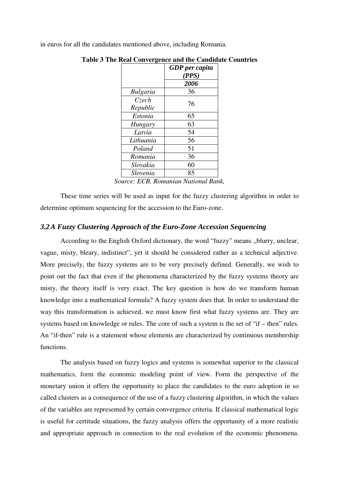in euros for all the candidates mentioned above, including Romania.

|                 | <b>GDP</b> per capita |
|-----------------|-----------------------|
|                 | (PPS)                 |
|                 | 2006                  |
| <b>Bulgaria</b> | 36                    |
| <b>Czech</b>    | 76                    |
| Republic        |                       |
| Estonia         | 65                    |
| <b>Hungary</b>  | 63                    |
| Latvia          | 54                    |
| Lithuania       | 56                    |
| Poland          | 51                    |
| Romania         | 36                    |
| Slovakia        | 60                    |
| Slovenia        | 85                    |

**Table 3 The Real Convergence and the Candidate Countries** 

These time series will be used as input for the fuzzy clustering algorithm in order to determine optimum sequencing for the accession to the Euro-zone.

### *3.2A Fuzzy Clustering Approach of the Euro-Zone Accession Sequencing*

According to the English Oxford dictionary, the word "fuzzy" means "blurry, unclear, vague, misty, bleary, indistinct", yet it should be considered rather as a technical adjective. More precisely, the fuzzy systems are to be very precisely defined. Generally, we wish to point out the fact that even if the phenomena characterized by the fuzzy systems theory are misty, the theory itself is very exact. The key question is how do we transform human knowledge into a mathematical formula? A fuzzy system does that. In order to understand the way this transformation is achieved, we must know first what fuzzy systems are. They are systems based on knowledge or rules. The core of such a system is the set of "if – then" rules. An "if-then" rule is a statement whose elements are characterized by continuous membership functions.

The analysis based on fuzzy logics and systems is somewhat superior to the classical mathematics, form the economic modeling point of view. Form the perspective of the monetary union it offers the opportunity to place the candidates to the euro adoption in so called clusters as a consequence of the use of a fuzzy clustering algorithm, in which the values of the variables are represented by certain convergence criteria. If classical mathematical logic is useful for certitude situations, the fuzzy analysis offers the opportunity of a more realistic and appropriate approach in connection to the real evolution of the economic phenomena.

*Source: ECB, Romanian National Bank,*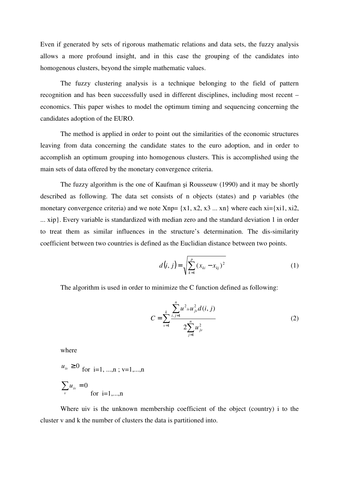Even if generated by sets of rigorous mathematic relations and data sets, the fuzzy analysis allows a more profound insight, and in this case the grouping of the candidates into homogenous clusters, beyond the simple mathematic values.

The fuzzy clustering analysis is a technique belonging to the field of pattern recognition and has been successfully used in different disciplines, including most recent – economics. This paper wishes to model the optimum timing and sequencing concerning the candidates adoption of the EURO.

The method is applied in order to point out the similarities of the economic structures leaving from data concerning the candidate states to the euro adoption, and in order to accomplish an optimum grouping into homogenous clusters. This is accomplished using the main sets of data offered by the monetary convergence criteria.

The fuzzy algorithm is the one of Kaufman si Rousseuw (1990) and it may be shortly described as following. The data set consists of n objects (states) and p variables (the monetary convergence criteria) and we note  $Xnp = \{x1, x2, x3 \dots xn\}$  where each  $xi = \{x_i, x_i\}$ , ... xip}. Every variable is standardized with median zero and the standard deviation 1 in order to treat them as similar influences in the structure's determination. The dis-similarity coefficient between two countries is defined as the Euclidian distance between two points.

$$
d(i, j) = \sqrt{\sum_{k=1}^{p} (x_{ki} - x_{kj})^2}
$$
 (1)

The algorithm is used in order to minimize the C function defined as following:

$$
C = \sum_{\nu=1}^{k} \frac{\sum_{i,j=1}^{n} u^2_{i\nu} u_{j\nu}^2 d(i, j)}{2 \sum_{j=1}^{n} u_{j\nu}^2}
$$
 (2)

where

$$
u_{iv} \ge 0
$$
 for i=1, ...,n; v=1,...,n  

$$
\sum_{v} u_{iv} = 0
$$
 for i=1,...,n

Where uiv is the unknown membership coefficient of the object (country) i to the cluster v and k the number of clusters the data is partitioned into.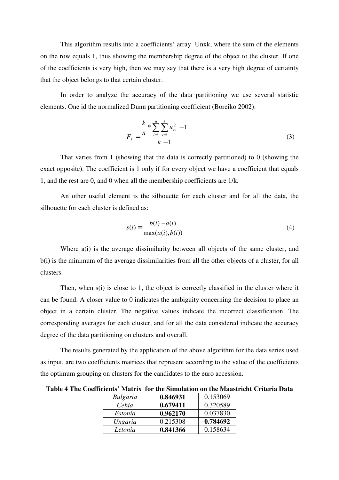This algorithm results into a coefficients' array Unxk, where the sum of the elements on the row equals 1, thus showing the membership degree of the object to the cluster. If one of the coefficients is very high, then we may say that there is a very high degree of certainty that the object belongs to that certain cluster.

In order to analyze the accuracy of the data partitioning we use several statistic elements. One id the normalized Dunn partitioning coefficient (Boreiko 2002):

$$
F_k = \frac{\frac{k}{n} \sum_{i=1}^{n} \sum_{v=1}^{k} u_{iv}^2 - 1}{k - 1}
$$
 (3)

That varies from 1 (showing that the data is correctly partitioned) to 0 (showing the exact opposite). The coefficient is 1 only if for every object we have a coefficient that equals 1, and the rest are 0, and 0 when all the membership coefficients are 1/k.

An other useful element is the silhouette for each cluster and for all the data, the silhouette for each cluster is defined as:

$$
s(i) = \frac{b(i) - a(i)}{\max(a(i), b(i))}
$$
\n
$$
(4)
$$

Where a(i) is the average dissimilarity between all objects of the same cluster, and b(i) is the minimum of the average dissimilarities from all the other objects of a cluster, for all clusters.

Then, when s(i) is close to 1, the object is correctly classified in the cluster where it can be found. A closer value to 0 indicates the ambiguity concerning the decision to place an object in a certain cluster. The negative values indicate the incorrect classification. The corresponding averages for each cluster, and for all the data considered indicate the accuracy degree of the data partitioning on clusters and overall.

The results generated by the application of the above algorithm for the data series used as input, are two coefficients matrices that represent according to the value of the coefficients the optimum grouping on clusters for the candidates to the euro accession.

**Table 4 The Coefficients' Matrix for the Simulation on the Maastricht Criteria Data** 

| Bulgaria | 0.846931 | 0.153069 |
|----------|----------|----------|
| Cehia    | 0.679411 | 0.320589 |
| Estonia  | 0.962170 | 0.037830 |
| Ungaria  | 0.215308 | 0.784692 |
| Letonia  | 0.841366 | 0.158634 |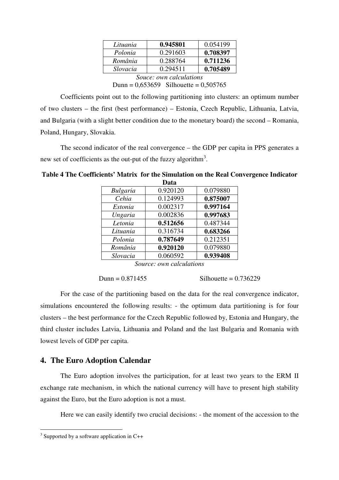| Lituania                | 0.945801 | 0.054199 |
|-------------------------|----------|----------|
| Polonia                 | 0.291603 | 0.708397 |
| România                 | 0.288764 | 0.711236 |
| Slovacia                | 0.294511 | 0.705489 |
| Souce: own calculations |          |          |

Dunn =  $0,653659$  Silhouette =  $0,505765$ 

Coefficients point out to the following partitioning into clusters: an optimum number of two clusters – the first (best performance) – Estonia, Czech Republic, Lithuania, Latvia, and Bulgaria (with a slight better condition due to the monetary board) the second – Romania, Poland, Hungary, Slovakia.

The second indicator of the real convergence – the GDP per capita in PPS generates a new set of coefficients as the out-put of the fuzzy algorithm<sup>3</sup>.

|                 | ijala    |          |
|-----------------|----------|----------|
| <b>Bulgaria</b> | 0.920120 | 0.079880 |
| Cehia           | 0.124993 | 0.875007 |
| Estonia         | 0.002317 | 0.997164 |
| Ungaria         | 0.002836 | 0.997683 |
| Letonia         | 0.512656 | 0.487344 |
| Lituania        | 0.316734 | 0.683266 |
| Polonia         | 0.787649 | 0.212351 |
| România         | 0.920120 | 0.079880 |
| Slovacia        | 0.060592 | 0.939408 |
|                 |          |          |

**Table 4 The Coefficients' Matrix for the Simulation on the Real Convergence Indicator Data** 

*Source: own calculations* 

```
Dunn = 0.871455 Silhouette = 0.736229
```
For the case of the partitioning based on the data for the real convergence indicator, simulations encountered the following results: - the optimum data partitioning is for four clusters – the best performance for the Czech Republic followed by, Estonia and Hungary, the third cluster includes Latvia, Lithuania and Poland and the last Bulgaria and Romania with lowest levels of GDP per capita.

## **4. The Euro Adoption Calendar**

The Euro adoption involves the participation, for at least two years to the ERM II exchange rate mechanism, in which the national currency will have to present high stability against the Euro, but the Euro adoption is not a must.

Here we can easily identify two crucial decisions: - the moment of the accession to the

<sup>&</sup>lt;sup>3</sup> Supported by a software application in C++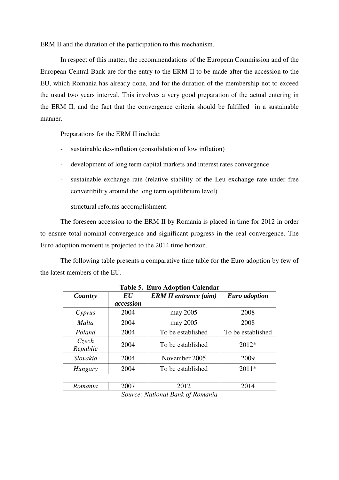ERM II and the duration of the participation to this mechanism.

In respect of this matter, the recommendations of the European Commission and of the European Central Bank are for the entry to the ERM II to be made after the accession to the EU, which Romania has already done, and for the duration of the membership not to exceed the usual two years interval. This involves a very good preparation of the actual entering in the ERM II, and the fact that the convergence criteria should be fulfilled in a sustainable manner.

Preparations for the ERM II include:

- sustainable des-inflation (consolidation of low inflation)
- development of long term capital markets and interest rates convergence
- sustainable exchange rate (relative stability of the Leu exchange rate under free convertibility around the long term equilibrium level)
- structural reforms accomplishment.

The foreseen accession to the ERM II by Romania is placed in time for 2012 in order to ensure total nominal convergence and significant progress in the real convergence. The Euro adoption moment is projected to the 2014 time horizon.

The following table presents a comparative time table for the Euro adoption by few of the latest members of the EU.

| Tabit 9. Euro Augulon Calchuan |                |                                                 |                      |
|--------------------------------|----------------|-------------------------------------------------|----------------------|
| Country                        | $\bm{E}\bm{U}$ | <b>ERM II entrance (aim)</b>                    | <b>Euro</b> adoption |
|                                | accession      |                                                 |                      |
| $C$ <i>yprus</i>               | 2004           | may 2005                                        | 2008                 |
| Malta                          | 2004           | may 2005                                        | 2008                 |
| Poland                         | 2004           | To be established                               | To be established    |
| Czech<br>Republic              | 2004           | To be established                               | $2012*$              |
| Slovakia                       | 2004           | November 2005                                   | 2009                 |
| Hungary                        | 2004           | To be established                               | $2011*$              |
|                                |                |                                                 |                      |
| Romania                        | 2007           | 2012                                            | 2014                 |
|                                | $\sim$         | $1 \, \text{m}$ $1 \, \text{m}$<br>$\mathbf{v}$ |                      |

**Table 5. Euro Adoption Calendar** 

*Source: National Bank of Romania*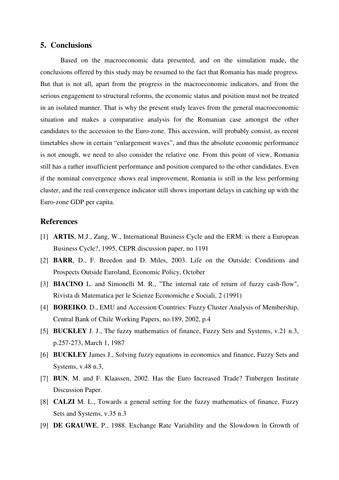## **5. Conclusions**

Based on the macroeconomic data presented, and on the simulation made, the conclusions offered by this study may be resumed to the fact that Romania has made progress. But that is not all, apart from the progress in the macroeconomic indicators, and from the serious engagement to structural reforms, the economic status and position must not be treated in an isolated manner. That is why the present study leaves from the general macroeconomic situation and makes a comparative analysis for the Romanian case amongst the other candidates to the accession to the Euro-zone. This accession, will probably consist, as recent timetables show in certain "enlargement waves", and thus the absolute economic performance is not enough, we need to also consider the relative one. From this point of view, Romania still has a rather insufficient performance and position compared to the other candidates. Even if the nominal convergence shows real improvement, Romania is still in the less performing cluster, and the real convergence indicator still shows important delays in catching up with the Euro-zone GDP per capita.

## **References**

- [1] **ARTIS**, M.J., Zang, W., International Business Cycle and the ERM: is there a European Business Cycle?, 1995, CEPR discussion paper, no 1191
- [2] **BARR**, D., F. Breedon and D. Miles, 2003. Life on the Outside: Conditions and Prospects Outside Euroland, Economic Policy, October
- [3] **BIACINO** L. and Simonelli M. R., "The internal rate of return of fuzzy cash-flow", Rivista di Matematica per le Scienze Economiche e Sociali, 2 (1991)
- [4] **BOREIKO**, D., EMU and Accession Countries: Fuzzy Cluster Analysis of Membership, Central Bank of Chile Working Papers, no.189, 2002, p.4
- [5] **BUCKLEY** J. J., The fuzzy mathematics of finance, Fuzzy Sets and Systems, v.21 n.3, p.257-273, March 1, 1987
- [6] **BUCKLEY** James J., Solving fuzzy equations in economics and finance, Fuzzy Sets and Systems, v.48 n.3,
- [7] **BUN**, M. and F. Klaassen, 2002. Has the Euro Increased Trade? Tinbergen Institute Discussion Paper.
- [8] **CALZI** M. L., Towards a general setting for the fuzzy mathematics of finance, Fuzzy Sets and Systems, v.35 n.3
- [9] **DE GRAUWE**, P., 1988. Exchange Rate Variability and the Slowdown în Growth of